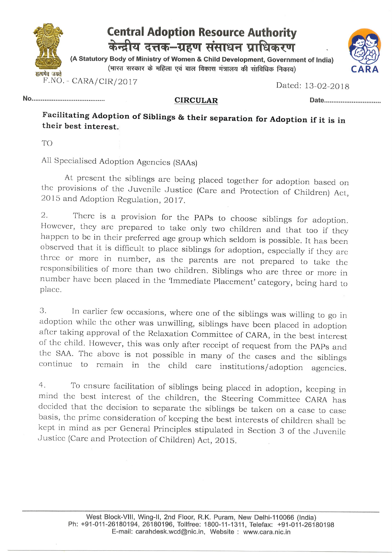



Dated: 13-02-2018

No.

CIRCULAR Date

Facilitating Adoption of Siblings & their separation for Adoption if it is in their best interest.

TO

All Spccialiscd Adopition Agencies (SAAs)

At present the siblings are being placed together for adoption based on the provisions of the Juvenile Justice (Care and Protection of Children) Act, 2015 and Adoption Regulation, 2017.

2. There is a provision for the PAPs to choose siblings for adoption.<br>However, they are prepared to take only two children and that too if they<br>happen to be in their preferred age group which seldom is possible. It has bee

3. In earlier few occasions, where one of the siblings was willing to go in adoption while the other was unwilling, siblings have been placed in adoption after taking approval of the Relaxation Committee of CARA, in the be

4. To cnsure facilitation of siblings being placed in adoption, kceping in mind thc bcst interest of the chiidren, the Steering Committee CARA has dccided that the decision to separate the siblings be taken on a case to case<br>basis, the prime consideration of keeping the best interests of children shall be kept in mind as per General Principles stipulated in Section 3 of the Juvenile Justice (Care and Protection of Children) Act, 2015.